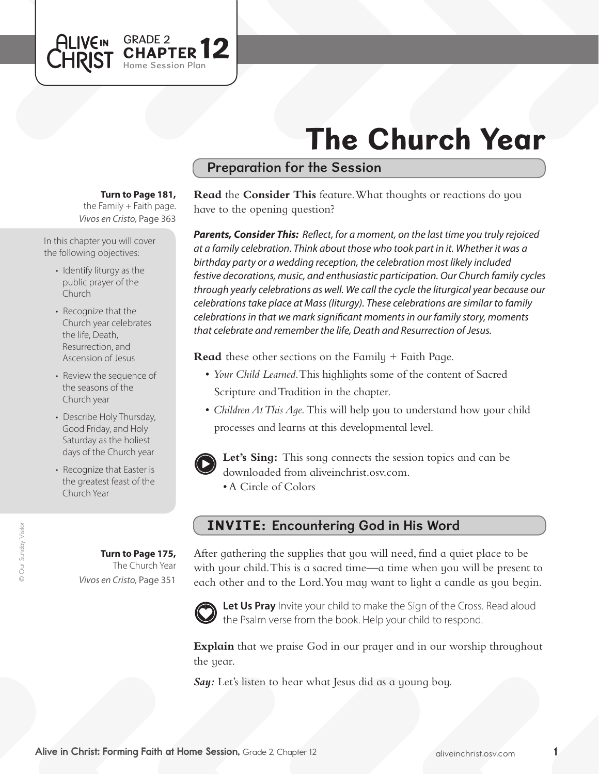# The Church Year

## Preparation for the Session

**Turn to Page 181,** 

GRADE 2 **12** 

Session Plan

the Family  $+$  Faith page. *Vivos en Cristo,* Page 363

In this chapter you will cover the following objectives:

**ALIVEIN LHRIST** 

- Identify liturgy as the public prayer of the Church
- Recognize that the Church year celebrates the life, Death, Resurrection, and Ascension of Jesus
- Review the sequence of the seasons of the Church year
- Describe Holy Thursday, Good Friday, and Holy Saturday as the holiest days of the Church year
- Recognize that Easter is the greatest feast of the Church Year

**Turn to Page 175,** The Church Year

*Vivos en Cristo,* Page 351

**Read** the **Consider This** feature. What thoughts or reactions do you have to the opening question?

*Parents, Consider This: Reflect, for a moment, on the last time you truly rejoiced at a family celebration. Think about those who took part in it. Whether it was a birthday party or a wedding reception, the celebration most likely included festive decorations, music, and enthusiastic participation. Our Church family cycles through yearly celebrations as well. We call the cycle the liturgical year because our celebrations take place at Mass (liturgy). These celebrations are similar to family celebrations in that we mark significant moments in our family story, moments that celebrate and remember the life, Death and Resurrection of Jesus.*

**Read** these other sections on the Family + Faith Page.

- • *Your Child Learned*. This highlights some of the content of Sacred Scripture and Tradition in the chapter.
- *Children At This Aqe*. This will help you to understand how your child processes and learns at this developmental level.



Let's Sing: This song connects the session topics and can be downloaded from aliveinchrist.osv.com.

• A Circle of Colors

### INVITE: Encountering God in His Word

After gathering the supplies that you will need, find a quiet place to be with your child. This is a sacred time—a time when you will be present to each other and to the Lord. You may want to light a candle as you begin.



Let Us Pray Invite your child to make the Sign of the Cross. Read aloud the Psalm verse from the book. Help your child to respond.

**Explain** that we praise God in our prayer and in our worship throughout the year.

**Say:** Let's listen to hear what Jesus did as a young boy.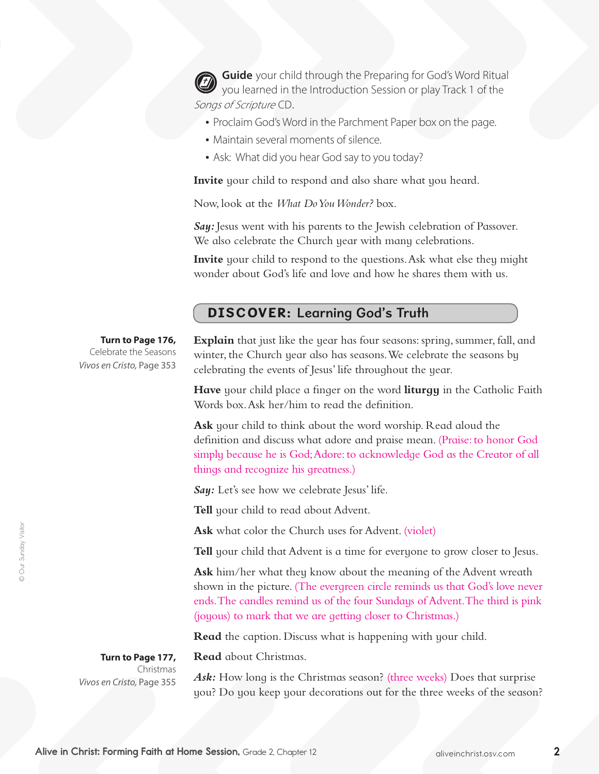**Guide** your child through the Preparing for God's Word Ritual you learned in the Introduction Session or play Track 1 of the Songs of Scripture CD.

- Proclaim God's Word in the Parchment Paper box on the page.
- Maintain several moments of silence.
- Ask: What did you hear God say to you today?

**Invite** your child to respond and also share what you heard.

Now, look at the *What Do You Wonder?* box.

**Say:** Jesus went with his parents to the Jewish celebration of Passover. We also celebrate the Church year with many celebrations.

**Invite** your child to respond to the questions. Ask what else they might wonder about God's life and love and how he shares them with us.

#### DISCOVER: Learning God's Truth

**Turn to Page 176,** Celebrate the Seasons *Vivos en Cristo,* Page 353 **Explain** that just like the year has four seasons: spring, summer, fall, and winter, the Church year also has seasons.We celebrate the seasons by celebrating the events of Jesus' life throughout the year.

**Have** your child place a finger on the word **liturgy** in the Catholic Faith Words box.Ask her/him to read the definition.

**Ask** your child to think about the word worship. Read aloud the definition and discuss what adore and praise mean. (Praise: to honor God simply because he is God;Adore: to acknowledge God as the Creator of all things and recognize his greatness.)

*Say:* Let's see how we celebrate Jesus' life.

**Tell** your child to read about Advent.

**Read** about Christmas.

Ask what color the Church uses for Advent. (violet)

**Tell** your child that Advent is a time for everyone to grow closer to Jesus.

**Ask** him/her what they know about the meaning of the Advent wreath shown in the picture. (The evergreen circle reminds us that God's love never ends.The candles remind us of the four Sundays of Advent.The third is pink (joyous) to mark that we are getting closer to Christmas.)

**Read** the caption. Discuss what is happening with your child.

**Turn to Page 177,**  Christmas *Vivos en Cristo,* Page 355

Ask: How long is the Christmas season? (three weeks) Does that surprise you? Do you keep your decorations out for the three weeks of the season?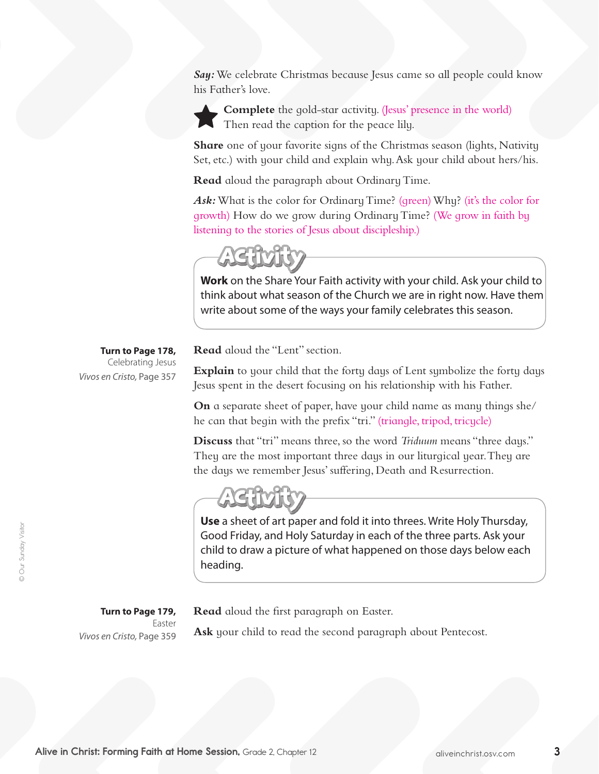**Say:** We celebrate Christmas because Jesus came so all people could know his Father's love.



**Complete** the gold-star activity. (Jesus' presence in the world) Then read the caption for the peace lily.

**Share** one of your favorite signs of the Christmas season (lights, Nativity Set, etc.) with your child and explain why.Ask your child about hers/his.

**Read** aloud the paragraph about Ordinary Time.

Ask: What is the color for Ordinary Time? (green) Why? (it's the color for growth) How do we grow during Ordinary Time? (We grow in faith by listening to the stories of Jesus about discipleship.)

**Work** on the Share Your Faith activity with your child. Ask your child to think about what season of the Church we are in right now. Have them write about some of the ways your family celebrates this season.

**Turn to Page 178,** Celebrating Jesus *Vivos en Cristo,* Page 357

**Read** aloud the "Lent" section.

**Explain** to your child that the forty days of Lent symbolize the forty days Jesus spent in the desert focusing on his relationship with his Father.

**On** a separate sheet of paper, have your child name as many things she/ he can that begin with the prefix "tri." (triangle, tripod, tricycle)

**Discuss** that "tri" means three, so the word *Triduum* means "three days." They are the most important three days in our liturgical year. They are the days we remember Jesus' suffering, Death and Resurrection.



**Use** a sheet of art paper and fold it into threes. Write Holy Thursday, Good Friday, and Holy Saturday in each of the three parts. Ask your child to draw a picture of what happened on those days below each heading.

**Turn to Page 179,**

Easter *Vivos en Cristo,* Page 359 **Read** aloud the first paragraph on Easter.

**Ask** your child to read the second paragraph about Pentecost.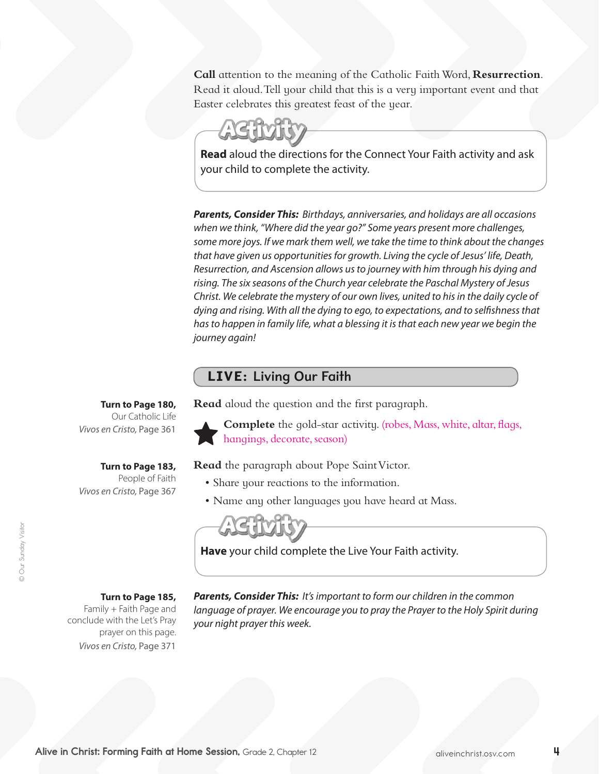**Call** attention to the meaning of the Catholic FaithWord, **Resurrection**. Read it aloud.Tell your child that this is a very important event and that Easter celebrates this greatest feast of the year.



**Read** aloud the directions for the Connect Your Faith activity and ask your child to complete the activity.

*Parents, Consider This: Birthdays, anniversaries, and holidays are all occasions when we think, "Where did the year go?" Some years present more challenges, some more joys. If we mark them well, we take the time to think about the changes that have given us opportunities for growth. Living the cycle of Jesus' life, Death, Resurrection, and Ascension allows us to journey with him through his dying and rising. The six seasons of the Church year celebrate the Paschal Mystery of Jesus Christ. We celebrate the mystery of our own lives, united to his in the daily cycle of dying and rising. With all the dying to ego, to expectations, and to selfishness that has to happen in family life, what a blessing it is that each new year we begin the journey again!*

#### LIVE: Living Our Faith

**Read** aloud the question and the first paragraph.



**Complete** the gold-star activity. (robes, Mass, white, altar, flags, hangings, decorate, season)

**Read** the paragraph about Pope Saint Victor.

- • Share your reactions to the information.
- Name any other languages you have heard at Mass.

**Have** your child complete the Live Your Faith activity.

**Turn to Page 185,** 

**Turn to Page 183,**  People of Faith

**Turn to Page 180,**  Our Catholic Life

*Vivos en Cristo,* Page 361

*Vivos en Cristo,* Page 367

Family + Faith Page and conclude with the Let's Pray prayer on this page. *Vivos en Cristo,* Page 371

*Parents, Consider This: It's important to form our children in the common*  language of prayer. We encourage you to pray the Prayer to the Holy Spirit during *your night prayer this week.*